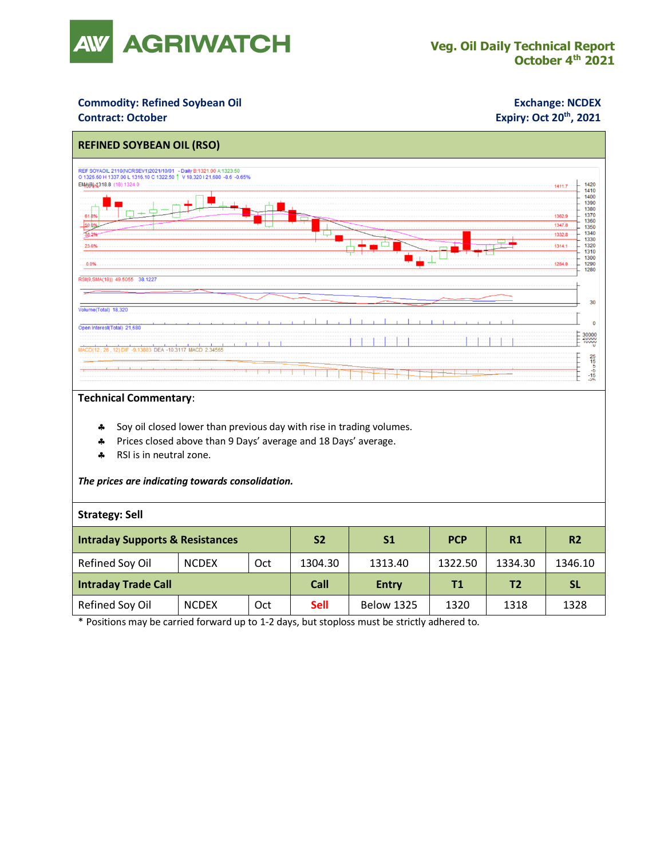

## **Commodity: Refined Soybean Oil <b>Exchange: NCDEX**

### **Contract: October**

# **Expiry: Oct 20<sup>th</sup>, 2021**



### **Technical Commentary**:

- Soy oil closed lower than previous day with rise in trading volumes.
- \* Prices closed above than 9 Days' average and 18 Days' average.
- \* RSI is in neutral zone.

#### *The prices are indicating towards consolidation.*

#### **Strategy: Sell**

| <b>Intraday Supports &amp; Resistances</b> |              |     | S <sub>2</sub> | S <sub>1</sub>    | <b>PCP</b> | R1      | R <sub>2</sub> |
|--------------------------------------------|--------------|-----|----------------|-------------------|------------|---------|----------------|
| Refined Soy Oil                            | <b>NCDEX</b> | Oct | 1304.30        | 1313.40           | 1322.50    | 1334.30 | 1346.10        |
| <b>Intraday Trade Call</b>                 |              |     | Call           | <b>Entry</b>      | Τ1         | T2      | <b>SL</b>      |
| Refined Soy Oil                            | <b>NCDEX</b> | Oct | <b>Sell</b>    | <b>Below 1325</b> | 1320       | 1318    | 1328           |

\* Positions may be carried forward up to 1-2 days, but stoploss must be strictly adhered to.